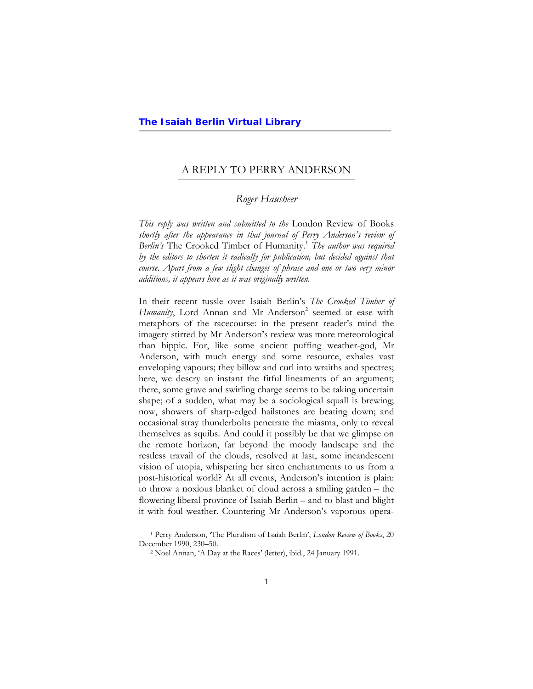$\overline{a}$ 

# A REPLY TO PERRY ANDERSON

# *Roger Hausheer*

*This reply was written and submitted to the* London Review of Books *shortly after the appearance in that journal of Perry Anderson's review of*  Berlin's The Crooked Timber of Humanity.<sup>1</sup> The author was required *by the editors to shorten it radically for publication, but decided against that course. Apart from a few slight changes of phrase and one or two very minor additions, it appears here as it was originally written.* 

In their recent tussle over Isaiah Berlin's *The Crooked Timber of*  Humanity, Lord Annan and Mr Anderson<sup>2</sup> seemed at ease with metaphors of the racecourse: in the present reader's mind the imagery stirred by Mr Anderson's review was more meteorological than hippic. For, like some ancient puffing weather-god, Mr Anderson, with much energy and some resource, exhales vast enveloping vapours; they billow and curl into wraiths and spectres; here, we descry an instant the fitful lineaments of an argument; there, some grave and swirling charge seems to be taking uncertain shape; of a sudden, what may be a sociological squall is brewing; now, showers of sharp-edged hailstones are beating down; and occasional stray thunderbolts penetrate the miasma, only to reveal themselves as squibs. And could it possibly be that we glimpse on the remote horizon, far beyond the moody landscape and the restless travail of the clouds, resolved at last, some incandescent vision of utopia, whispering her siren enchantments to us from a post-historical world? At all events, Anderson's intention is plain: to throw a noxious blanket of cloud across a smiling garden – the flowering liberal province of Isaiah Berlin – and to blast and blight it with foul weather. Countering Mr Anderson's vaporous opera-

<sup>1</sup> Perry Anderson, 'The Pluralism of Isaiah Berlin', *London Review of Books*, 20 December 1990, 230–50. 2 Noel Annan, 'A Day at the Races' (letter), ibid., 24 January 1991.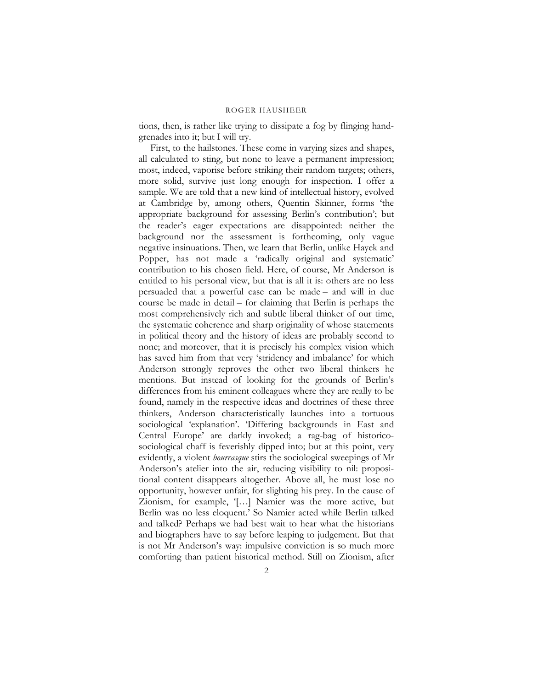tions, then, is rather like trying to dissipate a fog by flinging handgrenades into it; but I will try.

First, to the hailstones. These come in varying sizes and shapes, all calculated to sting, but none to leave a permanent impression; most, indeed, vaporise before striking their random targets; others, more solid, survive just long enough for inspection. I offer a sample. We are told that a new kind of intellectual history, evolved at Cambridge by, among others, Quentin Skinner, forms 'the appropriate background for assessing Berlin's contribution'; but the reader's eager expectations are disappointed: neither the background nor the assessment is forthcoming, only vague negative insinuations. Then, we learn that Berlin, unlike Hayek and Popper, has not made a 'radically original and systematic' contribution to his chosen field. Here, of course, Mr Anderson is entitled to his personal view, but that is all it is: others are no less persuaded that a powerful case can be made – and will in due course be made in detail – for claiming that Berlin is perhaps the most comprehensively rich and subtle liberal thinker of our time, the systematic coherence and sharp originality of whose statements in political theory and the history of ideas are probably second to none; and moreover, that it is precisely his complex vision which has saved him from that very 'stridency and imbalance' for which Anderson strongly reproves the other two liberal thinkers he mentions. But instead of looking for the grounds of Berlin's differences from his eminent colleagues where they are really to be found, namely in the respective ideas and doctrines of these three thinkers, Anderson characteristically launches into a tortuous sociological 'explanation'. 'Differing backgrounds in East and Central Europe' are darkly invoked; a rag-bag of historicosociological chaff is feverishly dipped into; but at this point, very evidently, a violent *bourrasque* stirs the sociological sweepings of Mr Anderson's atelier into the air, reducing visibility to nil: propositional content disappears altogether. Above all, he must lose no opportunity, however unfair, for slighting his prey. In the cause of Zionism, for example, '[…] Namier was the more active, but Berlin was no less eloquent.' So Namier acted while Berlin talked and talked? Perhaps we had best wait to hear what the historians and biographers have to say before leaping to judgement. But that is not Mr Anderson's way: impulsive conviction is so much more comforting than patient historical method. Still on Zionism, after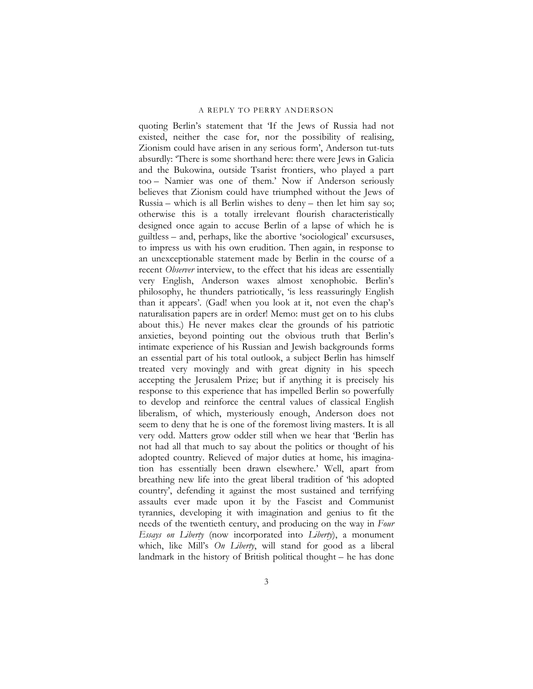quoting Berlin's statement that 'If the Jews of Russia had not existed, neither the case for, nor the possibility of realising, Zionism could have arisen in any serious form', Anderson tut-tuts absurdly: 'There is some shorthand here: there were Jews in Galicia and the Bukowina, outside Tsarist frontiers, who played a part too – Namier was one of them.' Now if Anderson seriously believes that Zionism could have triumphed without the Jews of Russia – which is all Berlin wishes to deny – then let him say so; otherwise this is a totally irrelevant flourish characteristically designed once again to accuse Berlin of a lapse of which he is guiltless – and, perhaps, like the abortive 'sociological' excursuses, to impress us with his own erudition. Then again, in response to an unexceptionable statement made by Berlin in the course of a recent *Observer* interview, to the effect that his ideas are essentially very English, Anderson waxes almost xenophobic. Berlin's philosophy, he thunders patriotically, 'is less reassuringly English than it appears'. (Gad! when you look at it, not even the chap's naturalisation papers are in order! Memo: must get on to his clubs about this.) He never makes clear the grounds of his patriotic anxieties, beyond pointing out the obvious truth that Berlin's intimate experience of his Russian and Jewish backgrounds forms an essential part of his total outlook, a subject Berlin has himself treated very movingly and with great dignity in his speech accepting the Jerusalem Prize; but if anything it is precisely his response to this experience that has impelled Berlin so powerfully to develop and reinforce the central values of classical English liberalism, of which, mysteriously enough, Anderson does not seem to deny that he is one of the foremost living masters. It is all very odd. Matters grow odder still when we hear that 'Berlin has not had all that much to say about the politics or thought of his adopted country. Relieved of major duties at home, his imagination has essentially been drawn elsewhere.' Well, apart from breathing new life into the great liberal tradition of 'his adopted country', defending it against the most sustained and terrifying assaults ever made upon it by the Fascist and Communist tyrannies, developing it with imagination and genius to fit the needs of the twentieth century, and producing on the way in *Four Essays on Liberty* (now incorporated into *Liberty*), a monument which, like Mill's *On Liberty*, will stand for good as a liberal landmark in the history of British political thought – he has done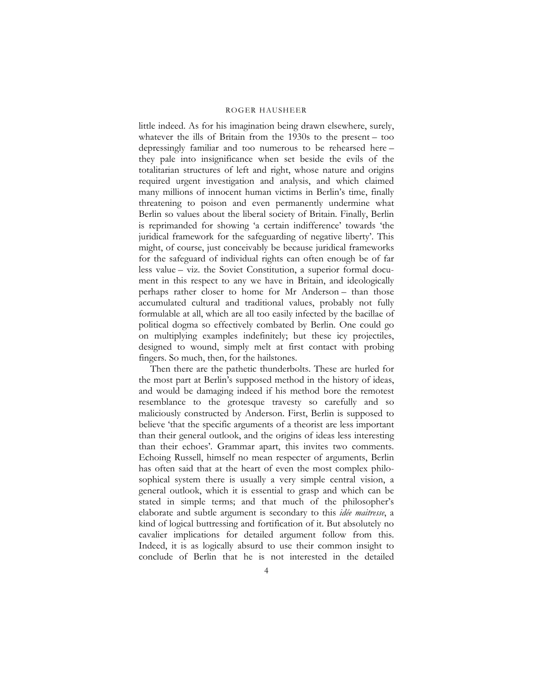little indeed. As for his imagination being drawn elsewhere, surely, whatever the ills of Britain from the 1930s to the present – too depressingly familiar and too numerous to be rehearsed here – they pale into insignificance when set beside the evils of the totalitarian structures of left and right, whose nature and origins required urgent investigation and analysis, and which claimed many millions of innocent human victims in Berlin's time, finally threatening to poison and even permanently undermine what Berlin so values about the liberal society of Britain. Finally, Berlin is reprimanded for showing 'a certain indifference' towards 'the juridical framework for the safeguarding of negative liberty'. This might, of course, just conceivably be because juridical frameworks for the safeguard of individual rights can often enough be of far less value – viz. the Soviet Constitution, a superior formal document in this respect to any we have in Britain, and ideologically perhaps rather closer to home for Mr Anderson – than those accumulated cultural and traditional values, probably not fully formulable at all, which are all too easily infected by the bacillae of political dogma so effectively combated by Berlin. One could go on multiplying examples indefinitely; but these icy projectiles, designed to wound, simply melt at first contact with probing fingers. So much, then, for the hailstones.

Then there are the pathetic thunderbolts. These are hurled for the most part at Berlin's supposed method in the history of ideas, and would be damaging indeed if his method bore the remotest resemblance to the grotesque travesty so carefully and so maliciously constructed by Anderson. First, Berlin is supposed to believe 'that the specific arguments of a theorist are less important than their general outlook, and the origins of ideas less interesting than their echoes'. Grammar apart, this invites two comments. Echoing Russell, himself no mean respecter of arguments, Berlin has often said that at the heart of even the most complex philosophical system there is usually a very simple central vision, a general outlook, which it is essential to grasp and which can be stated in simple terms; and that much of the philosopher's elaborate and subtle argument is secondary to this *idée maitresse*, a kind of logical buttressing and fortification of it. But absolutely no cavalier implications for detailed argument follow from this. Indeed, it is as logically absurd to use their common insight to conclude of Berlin that he is not interested in the detailed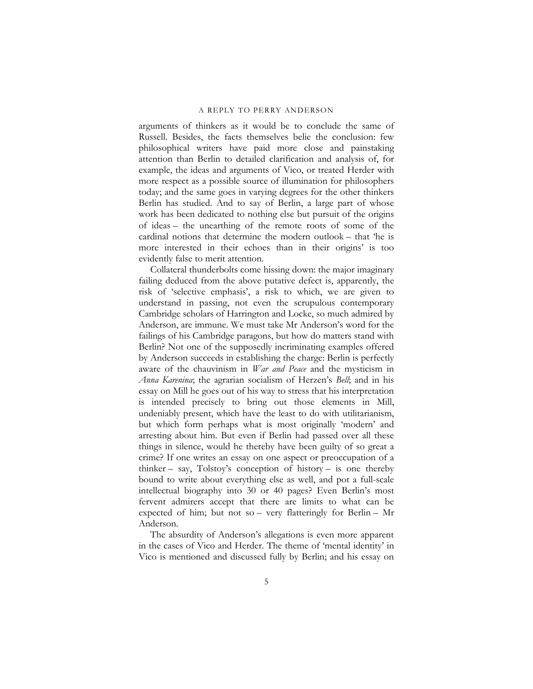arguments of thinkers as it would be to conclude the same of Russell. Besides, the facts themselves belie the conclusion: few philosophical writers have paid more close and painstaking attention than Berlin to detailed clarification and analysis of, for example, the ideas and arguments of Vico, or treated Herder with more respect as a possible source of illumination for philosophers today; and the same goes in varying degrees for the other thinkers Berlin has studied. And to say of Berlin, a large part of whose work has been dedicated to nothing else but pursuit of the origins of ideas – the unearthing of the remote roots of some of the cardinal notions that determine the modern outlook – that 'he is more interested in their echoes than in their origins' is too evidently false to merit attention.

Collateral thunderbolts come hissing down: the major imaginary failing deduced from the above putative defect is, apparently, the risk of 'selective emphasis', a risk to which, we are given to understand in passing, not even the scrupulous contemporary Cambridge scholars of Harrington and Locke, so much admired by Anderson, are immune. We must take Mr Anderson's word for the failings of his Cambridge paragons, but how do matters stand with Berlin? Not one of the supposedly incriminating examples offered by Anderson succeeds in establishing the charge: Berlin is perfectly aware of the chauvinism in *War and Peace* and the mysticism in *Anna Karenina*; the agrarian socialism of Herzen's *Bell*; and in his essay on Mill he goes out of his way to stress that his interpretation is intended precisely to bring out those elements in Mill, undeniably present, which have the least to do with utilitarianism, but which form perhaps what is most originally 'modern' and arresting about him. But even if Berlin had passed over all these things in silence, would he thereby have been guilty of so great a crime? If one writes an essay on one aspect or preoccupation of a thinker – say, Tolstoy's conception of history – is one thereby bound to write about everything else as well, and pot a full-scale intellectual biography into 30 or 40 pages? Even Berlin's most fervent admirers accept that there are limits to what can be expected of him; but not so – very flatteringly for Berlin – Mr Anderson.

The absurdity of Anderson's allegations is even more apparent in the cases of Vico and Herder. The theme of 'mental identity' in Vico is mentioned and discussed fully by Berlin; and his essay on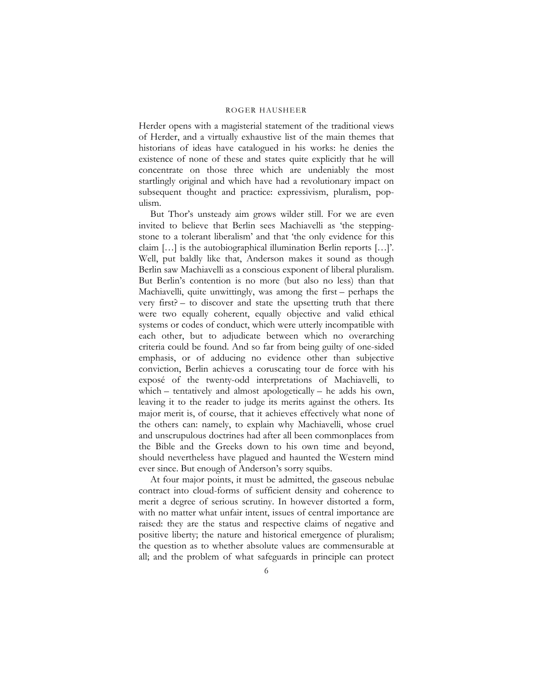Herder opens with a magisterial statement of the traditional views of Herder, and a virtually exhaustive list of the main themes that historians of ideas have catalogued in his works: he denies the existence of none of these and states quite explicitly that he will concentrate on those three which are undeniably the most startlingly original and which have had a revolutionary impact on subsequent thought and practice: expressivism, pluralism, populism.

But Thor's unsteady aim grows wilder still. For we are even invited to believe that Berlin sees Machiavelli as 'the steppingstone to a tolerant liberalism' and that 'the only evidence for this claim […] is the autobiographical illumination Berlin reports […]'. Well, put baldly like that, Anderson makes it sound as though Berlin saw Machiavelli as a conscious exponent of liberal pluralism. But Berlin's contention is no more (but also no less) than that Machiavelli, quite unwittingly, was among the first – perhaps the very first? – to discover and state the upsetting truth that there were two equally coherent, equally objective and valid ethical systems or codes of conduct, which were utterly incompatible with each other, but to adjudicate between which no overarching criteria could be found. And so far from being guilty of one-sided emphasis, or of adducing no evidence other than subjective conviction, Berlin achieves a coruscating tour de force with his exposé of the twenty-odd interpretations of Machiavelli, to which – tentatively and almost apologetically – he adds his own, leaving it to the reader to judge its merits against the others. Its major merit is, of course, that it achieves effectively what none of the others can: namely, to explain why Machiavelli, whose cruel and unscrupulous doctrines had after all been commonplaces from the Bible and the Greeks down to his own time and beyond, should nevertheless have plagued and haunted the Western mind ever since. But enough of Anderson's sorry squibs.

At four major points, it must be admitted, the gaseous nebulae contract into cloud-forms of sufficient density and coherence to merit a degree of serious scrutiny. In however distorted a form, with no matter what unfair intent, issues of central importance are raised: they are the status and respective claims of negative and positive liberty; the nature and historical emergence of pluralism; the question as to whether absolute values are commensurable at all; and the problem of what safeguards in principle can protect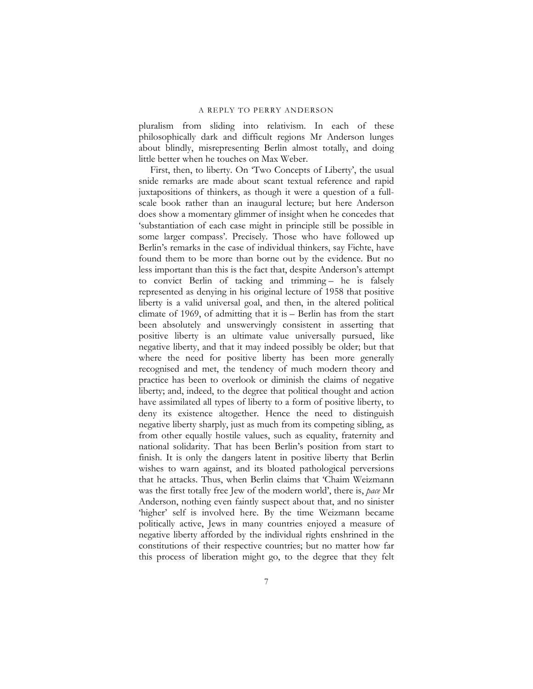pluralism from sliding into relativism. In each of these philosophically dark and difficult regions Mr Anderson lunges about blindly, misrepresenting Berlin almost totally, and doing little better when he touches on Max Weber.

First, then, to liberty. On 'Two Concepts of Liberty', the usual snide remarks are made about scant textual reference and rapid juxtapositions of thinkers, as though it were a question of a fullscale book rather than an inaugural lecture; but here Anderson does show a momentary glimmer of insight when he concedes that 'substantiation of each case might in principle still be possible in some larger compass'. Precisely. Those who have followed up Berlin's remarks in the case of individual thinkers, say Fichte, have found them to be more than borne out by the evidence. But no less important than this is the fact that, despite Anderson's attempt to convict Berlin of tacking and trimming – he is falsely represented as denying in his original lecture of 1958 that positive liberty is a valid universal goal, and then, in the altered political climate of 1969, of admitting that it is – Berlin has from the start been absolutely and unswervingly consistent in asserting that positive liberty is an ultimate value universally pursued, like negative liberty, and that it may indeed possibly be older; but that where the need for positive liberty has been more generally recognised and met, the tendency of much modern theory and practice has been to overlook or diminish the claims of negative liberty; and, indeed, to the degree that political thought and action have assimilated all types of liberty to a form of positive liberty, to deny its existence altogether. Hence the need to distinguish negative liberty sharply, just as much from its competing sibling, as from other equally hostile values, such as equality, fraternity and national solidarity. That has been Berlin's position from start to finish. It is only the dangers latent in positive liberty that Berlin wishes to warn against, and its bloated pathological perversions that he attacks. Thus, when Berlin claims that 'Chaim Weizmann was the first totally free Jew of the modern world', there is, *pace* Mr Anderson, nothing even faintly suspect about that, and no sinister 'higher' self is involved here. By the time Weizmann became politically active, Jews in many countries enjoyed a measure of negative liberty afforded by the individual rights enshrined in the constitutions of their respective countries; but no matter how far this process of liberation might go, to the degree that they felt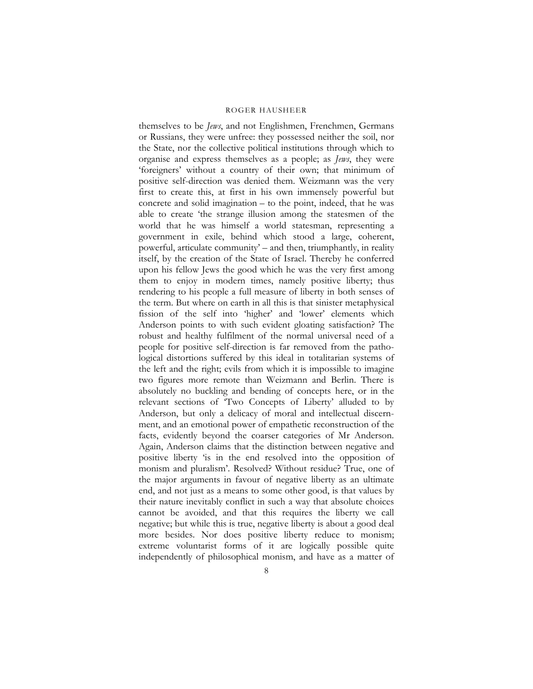themselves to be *Jews*, and not Englishmen, Frenchmen, Germans or Russians, they were unfree: they possessed neither the soil, nor the State, nor the collective political institutions through which to organise and express themselves as a people; as *Jews*, they were 'foreigners' without a country of their own; that minimum of positive self-direction was denied them. Weizmann was the very first to create this, at first in his own immensely powerful but concrete and solid imagination – to the point, indeed, that he was able to create 'the strange illusion among the statesmen of the world that he was himself a world statesman, representing a government in exile, behind which stood a large, coherent, powerful, articulate community' – and then, triumphantly, in reality itself, by the creation of the State of Israel. Thereby he conferred upon his fellow Jews the good which he was the very first among them to enjoy in modern times, namely positive liberty; thus rendering to his people a full measure of liberty in both senses of the term. But where on earth in all this is that sinister metaphysical fission of the self into 'higher' and 'lower' elements which Anderson points to with such evident gloating satisfaction? The robust and healthy fulfilment of the normal universal need of a people for positive self-direction is far removed from the pathological distortions suffered by this ideal in totalitarian systems of the left and the right; evils from which it is impossible to imagine two figures more remote than Weizmann and Berlin. There is absolutely no buckling and bending of concepts here, or in the relevant sections of 'Two Concepts of Liberty' alluded to by Anderson, but only a delicacy of moral and intellectual discernment, and an emotional power of empathetic reconstruction of the facts, evidently beyond the coarser categories of Mr Anderson. Again, Anderson claims that the distinction between negative and positive liberty 'is in the end resolved into the opposition of monism and pluralism'. Resolved? Without residue? True, one of the major arguments in favour of negative liberty as an ultimate end, and not just as a means to some other good, is that values by their nature inevitably conflict in such a way that absolute choices cannot be avoided, and that this requires the liberty we call negative; but while this is true, negative liberty is about a good deal more besides. Nor does positive liberty reduce to monism; extreme voluntarist forms of it are logically possible quite independently of philosophical monism, and have as a matter of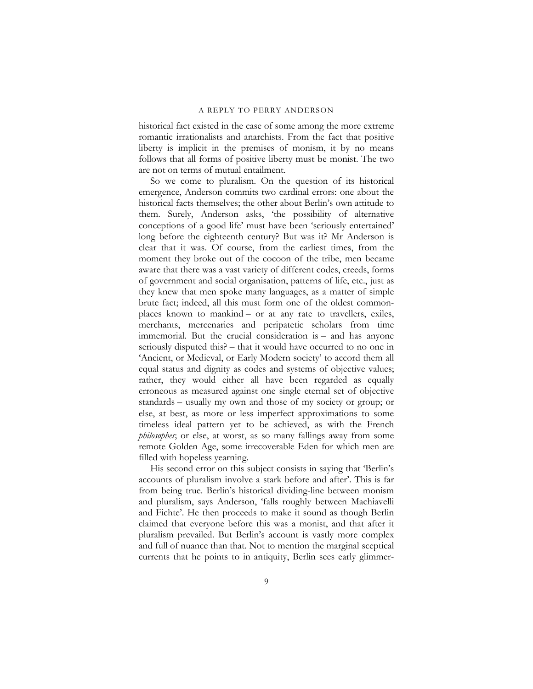historical fact existed in the case of some among the more extreme romantic irrationalists and anarchists. From the fact that positive liberty is implicit in the premises of monism, it by no means follows that all forms of positive liberty must be monist. The two are not on terms of mutual entailment.

So we come to pluralism. On the question of its historical emergence, Anderson commits two cardinal errors: one about the historical facts themselves; the other about Berlin's own attitude to them. Surely, Anderson asks, 'the possibility of alternative conceptions of a good life' must have been 'seriously entertained' long before the eighteenth century? But was it? Mr Anderson is clear that it was. Of course, from the earliest times, from the moment they broke out of the cocoon of the tribe, men became aware that there was a vast variety of different codes, creeds, forms of government and social organisation, patterns of life, etc., just as they knew that men spoke many languages, as a matter of simple brute fact; indeed, all this must form one of the oldest commonplaces known to mankind – or at any rate to travellers, exiles, merchants, mercenaries and peripatetic scholars from time immemorial. But the crucial consideration is – and has anyone seriously disputed this? – that it would have occurred to no one in 'Ancient, or Medieval, or Early Modern society' to accord them all equal status and dignity as codes and systems of objective values; rather, they would either all have been regarded as equally erroneous as measured against one single eternal set of objective standards – usually my own and those of my society or group; or else, at best, as more or less imperfect approximations to some timeless ideal pattern yet to be achieved, as with the French *philosophes*; or else, at worst, as so many fallings away from some remote Golden Age, some irrecoverable Eden for which men are filled with hopeless yearning.

His second error on this subject consists in saying that 'Berlin's accounts of pluralism involve a stark before and after'. This is far from being true. Berlin's historical dividing-line between monism and pluralism, says Anderson, 'falls roughly between Machiavelli and Fichte'. He then proceeds to make it sound as though Berlin claimed that everyone before this was a monist, and that after it pluralism prevailed. But Berlin's account is vastly more complex and full of nuance than that. Not to mention the marginal sceptical currents that he points to in antiquity, Berlin sees early glimmer-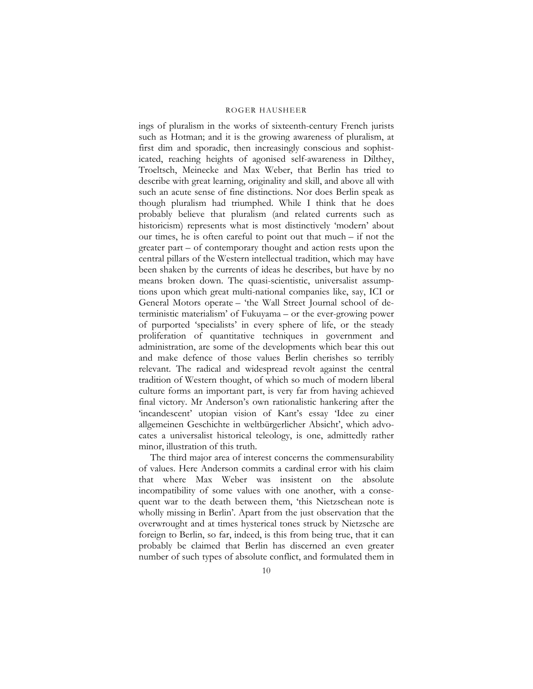ings of pluralism in the works of sixteenth-century French jurists such as Hotman; and it is the growing awareness of pluralism, at first dim and sporadic, then increasingly conscious and sophisticated, reaching heights of agonised self-awareness in Dilthey, Troeltsch, Meinecke and Max Weber, that Berlin has tried to describe with great learning, originality and skill, and above all with such an acute sense of fine distinctions. Nor does Berlin speak as though pluralism had triumphed. While I think that he does probably believe that pluralism (and related currents such as historicism) represents what is most distinctively 'modern' about our times, he is often careful to point out that much – if not the greater part – of contemporary thought and action rests upon the central pillars of the Western intellectual tradition, which may have been shaken by the currents of ideas he describes, but have by no means broken down. The quasi-scientistic, universalist assumptions upon which great multi-national companies like, say, ICI or General Motors operate – 'the Wall Street Journal school of deterministic materialism' of Fukuyama – or the ever-growing power of purported 'specialists' in every sphere of life, or the steady proliferation of quantitative techniques in government and administration, are some of the developments which bear this out and make defence of those values Berlin cherishes so terribly relevant. The radical and widespread revolt against the central tradition of Western thought, of which so much of modern liberal culture forms an important part, is very far from having achieved final victory. Mr Anderson's own rationalistic hankering after the 'incandescent' utopian vision of Kant's essay 'Idee zu einer allgemeinen Geschichte in weltbürgerlicher Absicht', which advocates a universalist historical teleology, is one, admittedly rather minor, illustration of this truth.

The third major area of interest concerns the commensurability of values. Here Anderson commits a cardinal error with his claim that where Max Weber was insistent on the absolute incompatibility of some values with one another, with a consequent war to the death between them, 'this Nietzschean note is wholly missing in Berlin'. Apart from the just observation that the overwrought and at times hysterical tones struck by Nietzsche are foreign to Berlin, so far, indeed, is this from being true, that it can probably be claimed that Berlin has discerned an even greater number of such types of absolute conflict, and formulated them in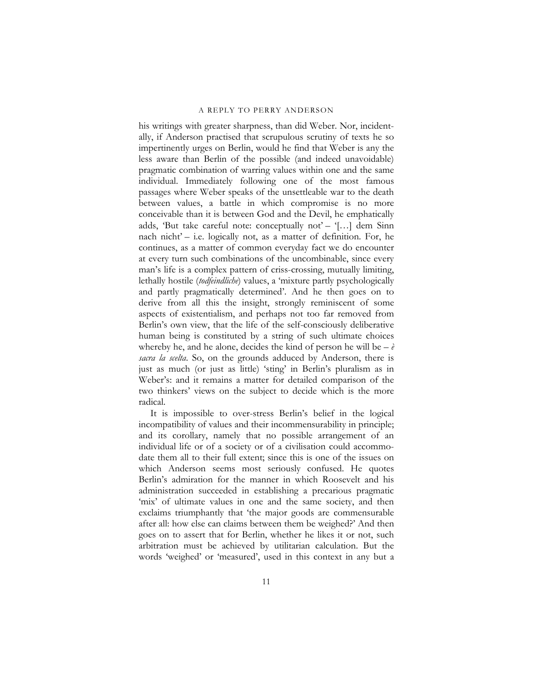his writings with greater sharpness, than did Weber. Nor, incidentally, if Anderson practised that scrupulous scrutiny of texts he so impertinently urges on Berlin, would he find that Weber is any the less aware than Berlin of the possible (and indeed unavoidable) pragmatic combination of warring values within one and the same individual. Immediately following one of the most famous passages where Weber speaks of the unsettleable war to the death between values, a battle in which compromise is no more conceivable than it is between God and the Devil, he emphatically adds, 'But take careful note: conceptually not' – '[...] dem Sinn nach nicht' – i.e. logically not, as a matter of definition. For, he continues, as a matter of common everyday fact we do encounter at every turn such combinations of the uncombinable, since every man's life is a complex pattern of criss-crossing, mutually limiting, lethally hostile (*todfeindliche*) values, a 'mixture partly psychologically and partly pragmatically determined'. And he then goes on to derive from all this the insight, strongly reminiscent of some aspects of existentialism, and perhaps not too far removed from Berlin's own view, that the life of the self-consciously deliberative human being is constituted by a string of such ultimate choices whereby he, and he alone, decides the kind of person he will be  $-\tilde{e}$ *sacra la scelta*. So, on the grounds adduced by Anderson, there is just as much (or just as little) 'sting' in Berlin's pluralism as in Weber's: and it remains a matter for detailed comparison of the two thinkers' views on the subject to decide which is the more radical.

It is impossible to over-stress Berlin's belief in the logical incompatibility of values and their incommensurability in principle; and its corollary, namely that no possible arrangement of an individual life or of a society or of a civilisation could accommodate them all to their full extent; since this is one of the issues on which Anderson seems most seriously confused. He quotes Berlin's admiration for the manner in which Roosevelt and his administration succeeded in establishing a precarious pragmatic 'mix' of ultimate values in one and the same society, and then exclaims triumphantly that 'the major goods are commensurable after all: how else can claims between them be weighed?' And then goes on to assert that for Berlin, whether he likes it or not, such arbitration must be achieved by utilitarian calculation. But the words 'weighed' or 'measured', used in this context in any but a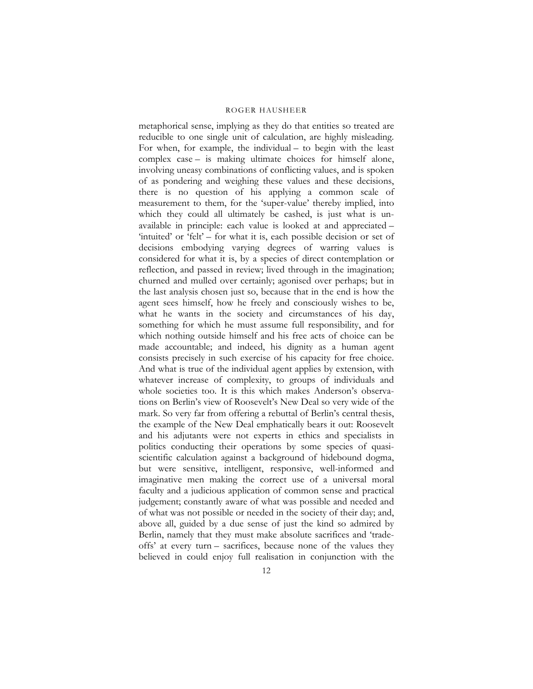metaphorical sense, implying as they do that entities so treated are reducible to one single unit of calculation, are highly misleading. For when, for example, the individual – to begin with the least complex case – is making ultimate choices for himself alone, involving uneasy combinations of conflicting values, and is spoken of as pondering and weighing these values and these decisions, there is no question of his applying a common scale of measurement to them, for the 'super-value' thereby implied, into which they could all ultimately be cashed, is just what is unavailable in principle: each value is looked at and appreciated – 'intuited' or 'felt' – for what it is, each possible decision or set of decisions embodying varying degrees of warring values is considered for what it is, by a species of direct contemplation or reflection, and passed in review; lived through in the imagination; churned and mulled over certainly; agonised over perhaps; but in the last analysis chosen just so, because that in the end is how the agent sees himself, how he freely and consciously wishes to be, what he wants in the society and circumstances of his day, something for which he must assume full responsibility, and for which nothing outside himself and his free acts of choice can be made accountable; and indeed, his dignity as a human agent consists precisely in such exercise of his capacity for free choice. And what is true of the individual agent applies by extension, with whatever increase of complexity, to groups of individuals and whole societies too. It is this which makes Anderson's observations on Berlin's view of Roosevelt's New Deal so very wide of the mark. So very far from offering a rebuttal of Berlin's central thesis, the example of the New Deal emphatically bears it out: Roosevelt and his adjutants were not experts in ethics and specialists in politics conducting their operations by some species of quasiscientific calculation against a background of hidebound dogma, but were sensitive, intelligent, responsive, well-informed and imaginative men making the correct use of a universal moral faculty and a judicious application of common sense and practical judgement; constantly aware of what was possible and needed and of what was not possible or needed in the society of their day; and, above all, guided by a due sense of just the kind so admired by Berlin, namely that they must make absolute sacrifices and 'tradeoffs' at every turn – sacrifices, because none of the values they believed in could enjoy full realisation in conjunction with the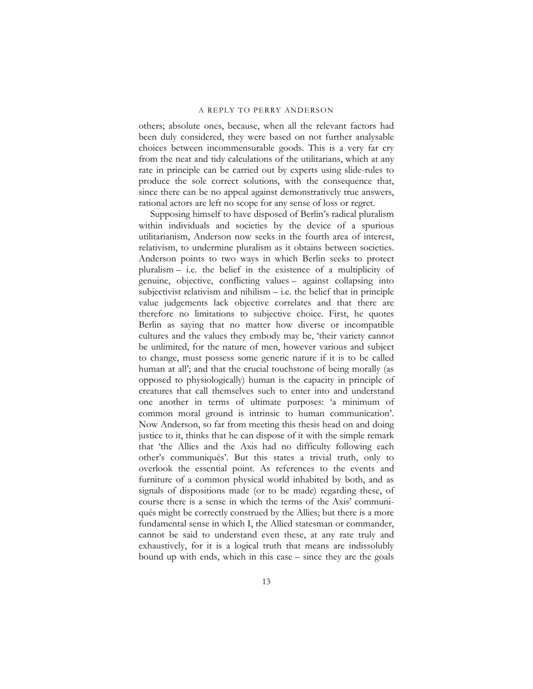others; absolute ones, because, when all the relevant factors had been duly considered, they were based on not further analysable choices between incommensurable goods. This is a very far cry from the neat and tidy calculations of the utilitarians, which at any rate in principle can be carried out by experts using slide-rules to produce the sole correct solutions, with the consequence that, since there can be no appeal against demonstratively true answers, rational actors are left no scope for any sense of loss or regret.

Supposing himself to have disposed of Berlin's radical pluralism within individuals and societies by the device of a spurious utilitarianism, Anderson now seeks in the fourth area of interest, relativism, to undermine pluralism as it obtains between societies. Anderson points to two ways in which Berlin seeks to protect pluralism – i.e. the belief in the existence of a multiplicity of genuine, objective, conflicting values – against collapsing into subjectivist relativism and nihilism  $-$  i.e. the belief that in principle value judgements lack objective correlates and that there are therefore no limitations to subjective choice. First, he quotes Berlin as saying that no matter how diverse or incompatible cultures and the values they embody may be, 'their variety cannot be unlimited, for the nature of men, however various and subject to change, must possess some generic nature if it is to be called human at all'; and that the crucial touchstone of being morally (as opposed to physiologically) human is the capacity in principle of creatures that call themselves such to enter into and understand one another in terms of ultimate purposes: 'a minimum of common moral ground is intrinsic to human communication'. Now Anderson, so far from meeting this thesis head on and doing justice to it, thinks that he can dispose of it with the simple remark that 'the Allies and the Axis had no difficulty following each other's communiqués'. But this states a trivial truth, only to overlook the essential point. As references to the events and furniture of a common physical world inhabited by both, and as signals of dispositions made (or to be made) regarding these, of course there is a sense in which the terms of the Axis' communiqués might be correctly construed by the Allies; but there is a more fundamental sense in which I, the Allied statesman or commander, cannot be said to understand even these, at any rate truly and exhaustively, for it is a logical truth that means are indissolubly bound up with ends, which in this case – since they are the goals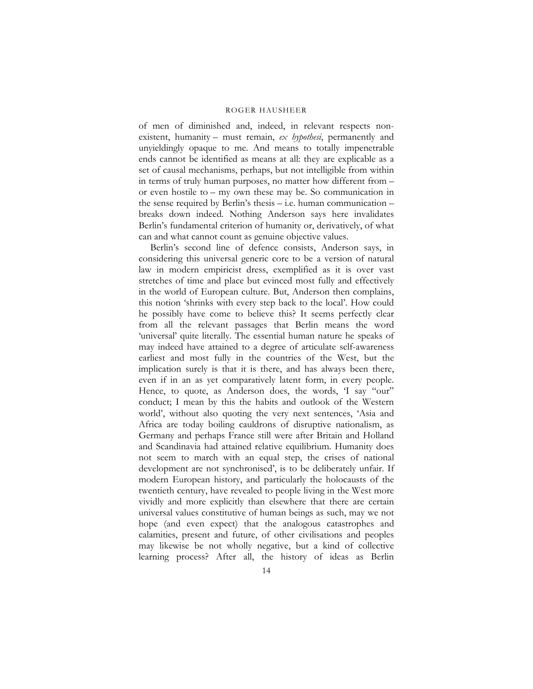of men of diminished and, indeed, in relevant respects nonexistent, humanity – must remain, *ex hypothesi*, permanently and unyieldingly opaque to me. And means to totally impenetrable ends cannot be identified as means at all: they are explicable as a set of causal mechanisms, perhaps, but not intelligible from within in terms of truly human purposes, no matter how different from – or even hostile to – my own these may be. So communication in the sense required by Berlin's thesis – i.e. human communication – breaks down indeed. Nothing Anderson says here invalidates Berlin's fundamental criterion of humanity or, derivatively, of what can and what cannot count as genuine objective values.

Berlin's second line of defence consists, Anderson says, in considering this universal generic core to be a version of natural law in modern empiricist dress, exemplified as it is over vast stretches of time and place but evinced most fully and effectively in the world of European culture. But, Anderson then complains, this notion 'shrinks with every step back to the local'. How could he possibly have come to believe this? It seems perfectly clear from all the relevant passages that Berlin means the word 'universal' quite literally. The essential human nature he speaks of may indeed have attained to a degree of articulate self-awareness earliest and most fully in the countries of the West, but the implication surely is that it is there, and has always been there, even if in an as yet comparatively latent form, in every people. Hence, to quote, as Anderson does, the words, 'I say "our" conduct; I mean by this the habits and outlook of the Western world', without also quoting the very next sentences, 'Asia and Africa are today boiling cauldrons of disruptive nationalism, as Germany and perhaps France still were after Britain and Holland and Scandinavia had attained relative equilibrium. Humanity does not seem to march with an equal step, the crises of national development are not synchronised', is to be deliberately unfair. If modern European history, and particularly the holocausts of the twentieth century, have revealed to people living in the West more vividly and more explicitly than elsewhere that there are certain universal values constitutive of human beings as such, may we not hope (and even expect) that the analogous catastrophes and calamities, present and future, of other civilisations and peoples may likewise be not wholly negative, but a kind of collective learning process? After all, the history of ideas as Berlin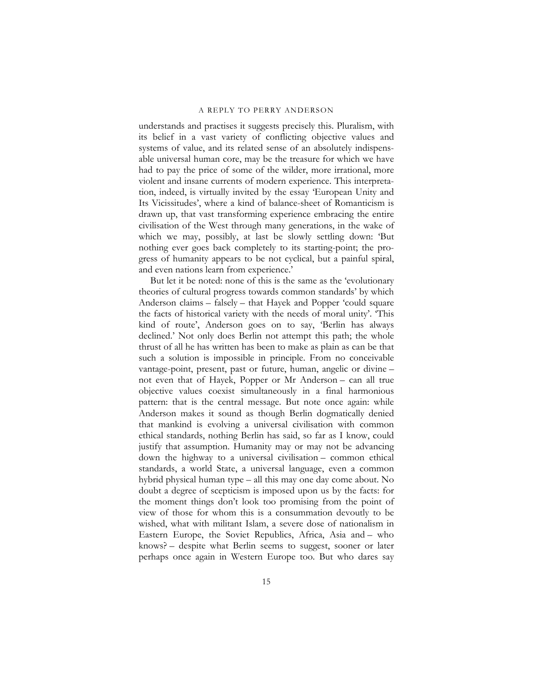understands and practises it suggests precisely this. Pluralism, with its belief in a vast variety of conflicting objective values and systems of value, and its related sense of an absolutely indispensable universal human core, may be the treasure for which we have had to pay the price of some of the wilder, more irrational, more violent and insane currents of modern experience. This interpretation, indeed, is virtually invited by the essay 'European Unity and Its Vicissitudes', where a kind of balance-sheet of Romanticism is drawn up, that vast transforming experience embracing the entire civilisation of the West through many generations, in the wake of which we may, possibly, at last be slowly settling down: 'But nothing ever goes back completely to its starting-point; the progress of humanity appears to be not cyclical, but a painful spiral, and even nations learn from experience.'

But let it be noted: none of this is the same as the 'evolutionary theories of cultural progress towards common standards' by which Anderson claims – falsely – that Hayek and Popper 'could square the facts of historical variety with the needs of moral unity'. 'This kind of route', Anderson goes on to say, 'Berlin has always declined.' Not only does Berlin not attempt this path; the whole thrust of all he has written has been to make as plain as can be that such a solution is impossible in principle. From no conceivable vantage-point, present, past or future, human, angelic or divine – not even that of Hayek, Popper or Mr Anderson – can all true objective values coexist simultaneously in a final harmonious pattern: that is the central message. But note once again: while Anderson makes it sound as though Berlin dogmatically denied that mankind is evolving a universal civilisation with common ethical standards, nothing Berlin has said, so far as I know, could justify that assumption. Humanity may or may not be advancing down the highway to a universal civilisation – common ethical standards, a world State, a universal language, even a common hybrid physical human type – all this may one day come about. No doubt a degree of scepticism is imposed upon us by the facts: for the moment things don't look too promising from the point of view of those for whom this is a consummation devoutly to be wished, what with militant Islam, a severe dose of nationalism in Eastern Europe, the Soviet Republics, Africa, Asia and – who knows? – despite what Berlin seems to suggest, sooner or later perhaps once again in Western Europe too. But who dares say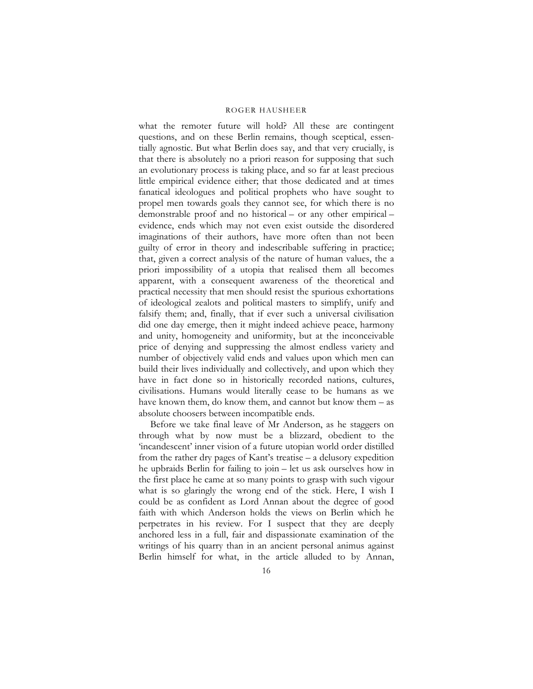what the remoter future will hold? All these are contingent questions, and on these Berlin remains, though sceptical, essentially agnostic. But what Berlin does say, and that very crucially, is that there is absolutely no a priori reason for supposing that such an evolutionary process is taking place, and so far at least precious little empirical evidence either; that those dedicated and at times fanatical ideologues and political prophets who have sought to propel men towards goals they cannot see, for which there is no demonstrable proof and no historical – or any other empirical – evidence, ends which may not even exist outside the disordered imaginations of their authors, have more often than not been guilty of error in theory and indescribable suffering in practice; that, given a correct analysis of the nature of human values, the a priori impossibility of a utopia that realised them all becomes apparent, with a consequent awareness of the theoretical and practical necessity that men should resist the spurious exhortations of ideological zealots and political masters to simplify, unify and falsify them; and, finally, that if ever such a universal civilisation did one day emerge, then it might indeed achieve peace, harmony and unity, homogeneity and uniformity, but at the inconceivable price of denying and suppressing the almost endless variety and number of objectively valid ends and values upon which men can build their lives individually and collectively, and upon which they have in fact done so in historically recorded nations, cultures, civilisations. Humans would literally cease to be humans as we have known them, do know them, and cannot but know them – as absolute choosers between incompatible ends.

Before we take final leave of Mr Anderson, as he staggers on through what by now must be a blizzard, obedient to the 'incandescent' inner vision of a future utopian world order distilled from the rather dry pages of Kant's treatise – a delusory expedition he upbraids Berlin for failing to join – let us ask ourselves how in the first place he came at so many points to grasp with such vigour what is so glaringly the wrong end of the stick. Here, I wish I could be as confident as Lord Annan about the degree of good faith with which Anderson holds the views on Berlin which he perpetrates in his review. For I suspect that they are deeply anchored less in a full, fair and dispassionate examination of the writings of his quarry than in an ancient personal animus against Berlin himself for what, in the article alluded to by Annan,